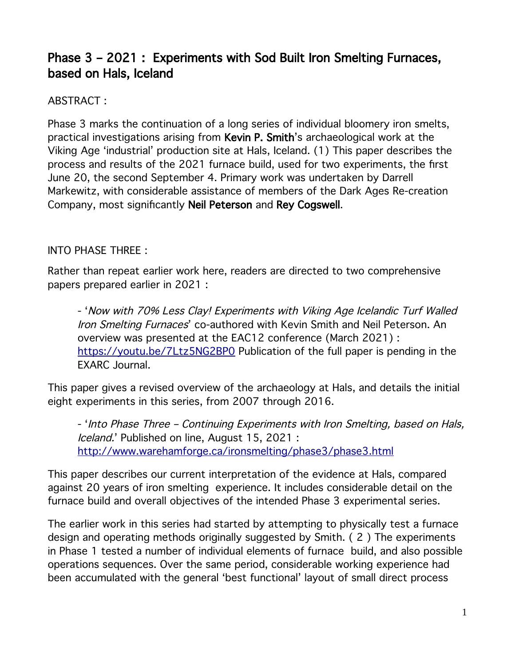# Phase 3 – 2021 : Experiments with Sod Built Iron Smelting Furnaces, based on Hals, Iceland

## ABSTRACT :

Phase 3 marks the continuation of a long series of individual bloomery iron smelts, practical investigations arising from Kevin P. Smith's archaeological work at the Viking Age 'industrial' production site at Hals, Iceland. (1) This paper describes the process and results of the 2021 furnace build, used for two experiments, the first June 20, the second September 4. Primary work was undertaken by Darrell Markewitz, with considerable assistance of members of the Dark Ages Re-creation Company, most significantly Neil Peterson and Rey Cogswell.

## INTO PHASE THREE :

Rather than repeat earlier work here, readers are directed to two comprehensive papers prepared earlier in 2021 :

- 'Now with 70% Less Clay! Experiments with Viking Age Icelandic Turf Walled Iron Smelting Furnaces' co-authored with Kevin Smith and Neil Peterson. An overview was presented at the EAC12 conference (March 2021) : <https://youtu.be/7Ltz5NG2BP0>Publication of the full paper is pending in the EXARC Journal.

This paper gives a revised overview of the archaeology at Hals, and details the initial eight experiments in this series, from 2007 through 2016.

- 'Into Phase Three – Continuing Experiments with Iron Smelting, based on Hals, Iceland.' Published on line, August 15, 2021 : <http://www.warehamforge.ca/ironsmelting/phase3/phase3.html>

This paper describes our current interpretation of the evidence at Hals, compared against 20 years of iron smelting experience. It includes considerable detail on the furnace build and overall objectives of the intended Phase 3 experimental series.

The earlier work in this series had started by attempting to physically test a furnace design and operating methods originally suggested by Smith. ( 2 ) The experiments in Phase 1 tested a number of individual elements of furnace build, and also possible operations sequences. Over the same period, considerable working experience had been accumulated with the general 'best functional' layout of small direct process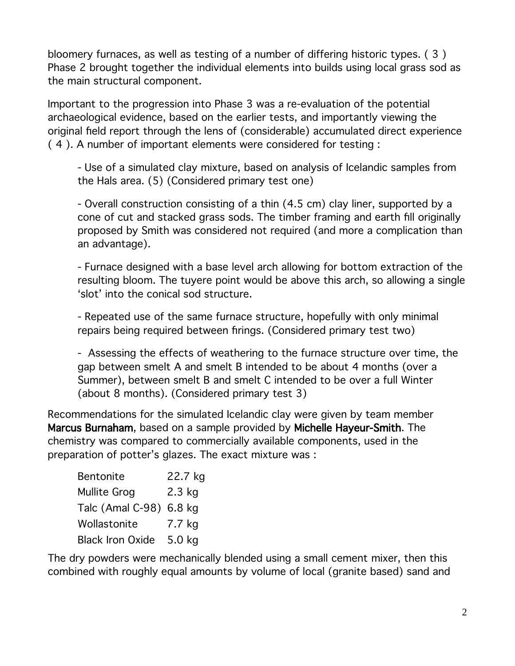bloomery furnaces, as well as testing of a number of differing historic types. ( 3 ) Phase 2 brought together the individual elements into builds using local grass sod as the main structural component.

Important to the progression into Phase 3 was a re-evaluation of the potential archaeological evidence, based on the earlier tests, and importantly viewing the original field report through the lens of (considerable) accumulated direct experience ( 4 ). A number of important elements were considered for testing :

- Use of a simulated clay mixture, based on analysis of Icelandic samples from the Hals area. (5) (Considered primary test one)

- Overall construction consisting of a thin (4.5 cm) clay liner, supported by a cone of cut and stacked grass sods. The timber framing and earth fill originally proposed by Smith was considered not required (and more a complication than an advantage).

- Furnace designed with a base level arch allowing for bottom extraction of the resulting bloom. The tuyere point would be above this arch, so allowing a single 'slot' into the conical sod structure.

- Repeated use of the same furnace structure, hopefully with only minimal repairs being required between firings. (Considered primary test two)

- Assessing the effects of weathering to the furnace structure over time, the gap between smelt A and smelt B intended to be about 4 months (over a Summer), between smelt B and smelt C intended to be over a full Winter (about 8 months). (Considered primary test 3)

Recommendations for the simulated Icelandic clay were given by team member Marcus Burnaham, based on a sample provided by Michelle Hayeur-Smith. The chemistry was compared to commercially available components, used in the preparation of potter's glazes. The exact mixture was :

| Bentonite               | 22.7 kg  |
|-------------------------|----------|
| <b>Mullite Grog</b>     | $2.3$ kg |
| Talc (Amal C-98) 6.8 kg |          |
| Wollastonite            | 7.7 kg   |
| <b>Black Iron Oxide</b> | 5.0 kg   |

The dry powders were mechanically blended using a small cement mixer, then this combined with roughly equal amounts by volume of local (granite based) sand and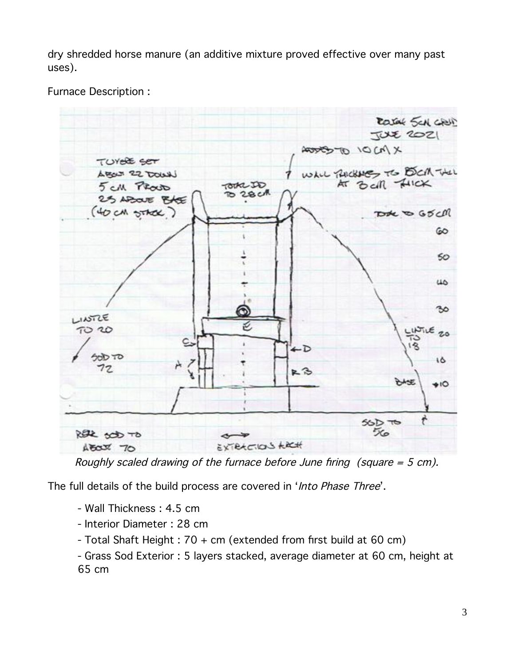dry shredded horse manure (an additive mixture proved effective over many past uses).

Furnace Description :

Rasak SCA GRUP  $TUXZ$ XMO/ OFCOUR TUY<del>OL</del> SET Unil Puckeres TO DOM THAT Least 22 Days Bell HICK **TOTAL JO** 5 CM Prouto O 28 c/R 25 AROUE BASE (40 CM STACK) Dote to GSCM 60  $50^{\circ}$  $\overline{\omega}$ 30 LINTLE 70 20 20 ←D הד פוסל 16 72 上了  $\bullet$  $56D$  TO ឃ REL SOD TO EXTRECTION LACH  $A$   $\overline{C}$   $X$   $\overline{C}$ 

Roughly scaled drawing of the furnace before June firing (square  $=$  5 cm).

The full details of the build process are covered in 'Into Phase Three'.

- Wall Thickness : 4.5 cm
- Interior Diameter : 28 cm
- Total Shaft Height : 70 + cm (extended from first build at 60 cm)
- Grass Sod Exterior : 5 layers stacked, average diameter at 60 cm, height at 65 cm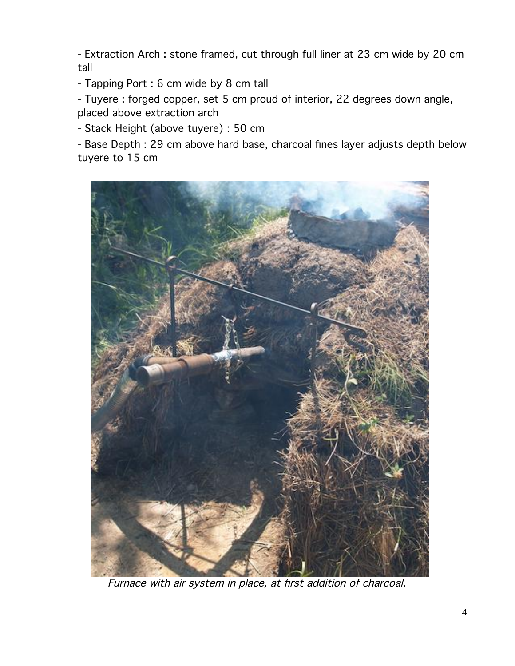- Extraction Arch : stone framed, cut through full liner at 23 cm wide by 20 cm tall

- Tapping Port : 6 cm wide by 8 cm tall

- Tuyere : forged copper, set 5 cm proud of interior, 22 degrees down angle, placed above extraction arch

- Stack Height (above tuyere) : 50 cm

- Base Depth : 29 cm above hard base, charcoal fines layer adjusts depth below tuyere to 15 cm



Furnace with air system in place, at first addition of charcoal.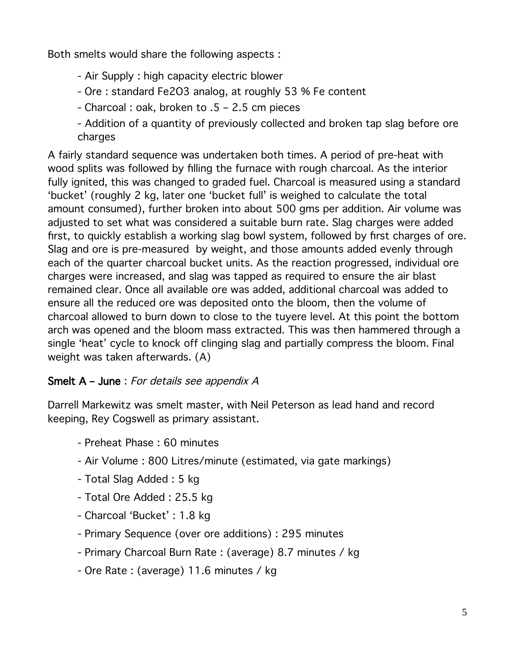Both smelts would share the following aspects :

- Air Supply : high capacity electric blower
- Ore : standard Fe2O3 analog, at roughly 53 % Fe content
- Charcoal : oak, broken to .5 2.5 cm pieces
- Addition of a quantity of previously collected and broken tap slag before ore charges

A fairly standard sequence was undertaken both times. A period of pre-heat with wood splits was followed by filling the furnace with rough charcoal. As the interior fully ignited, this was changed to graded fuel. Charcoal is measured using a standard 'bucket' (roughly 2 kg, later one 'bucket full' is weighed to calculate the total amount consumed), further broken into about 500 gms per addition. Air volume was adjusted to set what was considered a suitable burn rate. Slag charges were added first, to quickly establish a working slag bowl system, followed by first charges of ore. Slag and ore is pre-measured by weight, and those amounts added evenly through each of the quarter charcoal bucket units. As the reaction progressed, individual ore charges were increased, and slag was tapped as required to ensure the air blast remained clear. Once all available ore was added, additional charcoal was added to ensure all the reduced ore was deposited onto the bloom, then the volume of charcoal allowed to burn down to close to the tuyere level. At this point the bottom arch was opened and the bloom mass extracted. This was then hammered through a single 'heat' cycle to knock off clinging slag and partially compress the bloom. Final weight was taken afterwards. (A)

## Smelt A – June : For details see appendix A

Darrell Markewitz was smelt master, with Neil Peterson as lead hand and record keeping, Rey Cogswell as primary assistant.

- Preheat Phase : 60 minutes
- Air Volume : 800 Litres/minute (estimated, via gate markings)
- Total Slag Added : 5 kg
- Total Ore Added : 25.5 kg
- Charcoal 'Bucket' : 1.8 kg
- Primary Sequence (over ore additions) : 295 minutes
- Primary Charcoal Burn Rate : (average) 8.7 minutes / kg
- Ore Rate : (average) 11.6 minutes / kg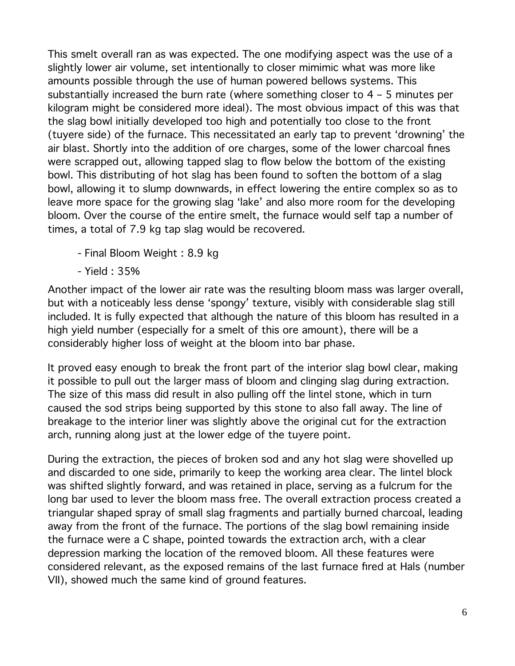This smelt overall ran as was expected. The one modifying aspect was the use of a slightly lower air volume, set intentionally to closer mimimic what was more like amounts possible through the use of human powered bellows systems. This substantially increased the burn rate (where something closer to 4 – 5 minutes per kilogram might be considered more ideal). The most obvious impact of this was that the slag bowl initially developed too high and potentially too close to the front (tuyere side) of the furnace. This necessitated an early tap to prevent 'drowning' the air blast. Shortly into the addition of ore charges, some of the lower charcoal fines were scrapped out, allowing tapped slag to flow below the bottom of the existing bowl. This distributing of hot slag has been found to soften the bottom of a slag bowl, allowing it to slump downwards, in effect lowering the entire complex so as to leave more space for the growing slag 'lake' and also more room for the developing bloom. Over the course of the entire smelt, the furnace would self tap a number of times, a total of 7.9 kg tap slag would be recovered.

- Final Bloom Weight : 8.9 kg
- Yield : 35%

Another impact of the lower air rate was the resulting bloom mass was larger overall, but with a noticeably less dense 'spongy' texture, visibly with considerable slag still included. It is fully expected that although the nature of this bloom has resulted in a high yield number (especially for a smelt of this ore amount), there will be a considerably higher loss of weight at the bloom into bar phase.

It proved easy enough to break the front part of the interior slag bowl clear, making it possible to pull out the larger mass of bloom and clinging slag during extraction. The size of this mass did result in also pulling off the lintel stone, which in turn caused the sod strips being supported by this stone to also fall away. The line of breakage to the interior liner was slightly above the original cut for the extraction arch, running along just at the lower edge of the tuyere point.

During the extraction, the pieces of broken sod and any hot slag were shovelled up and discarded to one side, primarily to keep the working area clear. The lintel block was shifted slightly forward, and was retained in place, serving as a fulcrum for the long bar used to lever the bloom mass free. The overall extraction process created a triangular shaped spray of small slag fragments and partially burned charcoal, leading away from the front of the furnace. The portions of the slag bowl remaining inside the furnace were a C shape, pointed towards the extraction arch, with a clear depression marking the location of the removed bloom. All these features were considered relevant, as the exposed remains of the last furnace fired at Hals (number VII), showed much the same kind of ground features.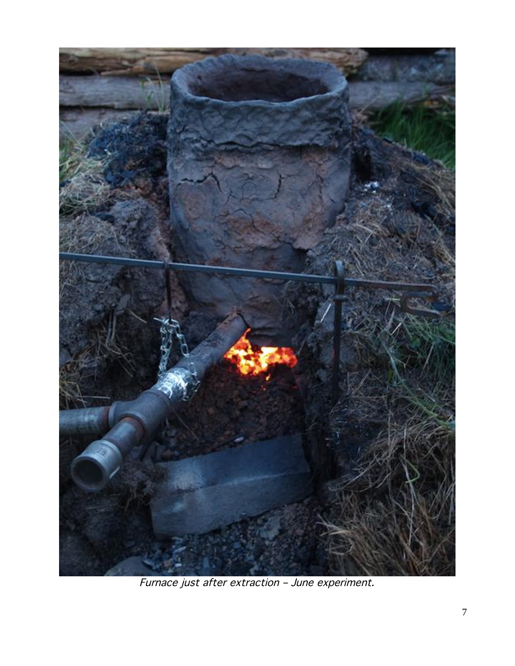

Furnace just after extraction – June experiment.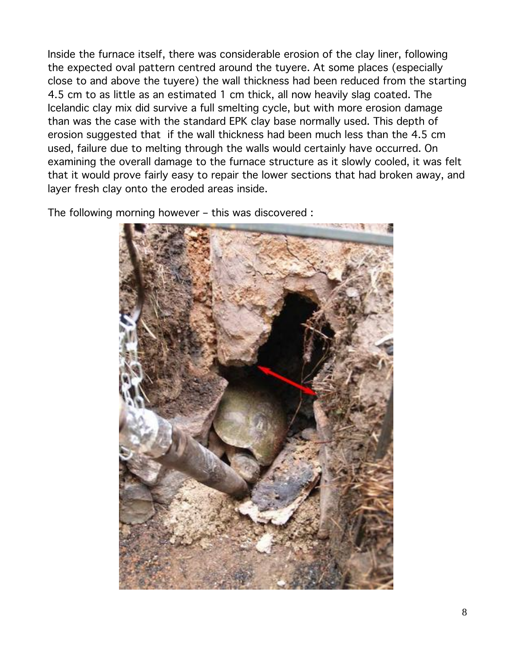Inside the furnace itself, there was considerable erosion of the clay liner, following the expected oval pattern centred around the tuyere. At some places (especially close to and above the tuyere) the wall thickness had been reduced from the starting 4.5 cm to as little as an estimated 1 cm thick, all now heavily slag coated. The Icelandic clay mix did survive a full smelting cycle, but with more erosion damage than was the case with the standard EPK clay base normally used. This depth of erosion suggested that if the wall thickness had been much less than the 4.5 cm used, failure due to melting through the walls would certainly have occurred. On examining the overall damage to the furnace structure as it slowly cooled, it was felt that it would prove fairly easy to repair the lower sections that had broken away, and layer fresh clay onto the eroded areas inside.

The following morning however – this was discovered :

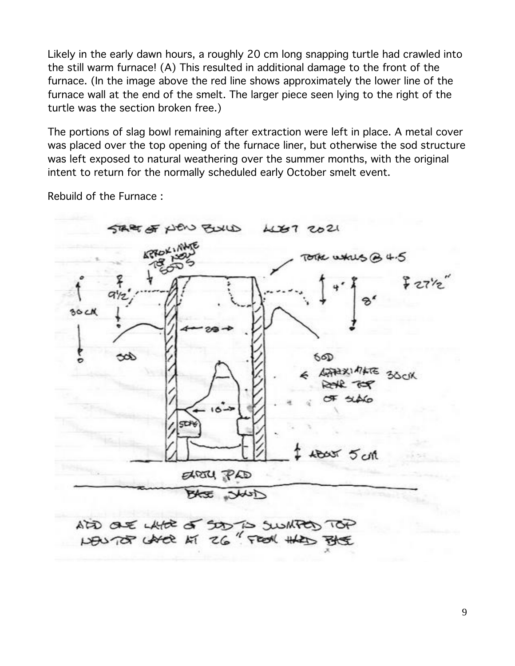Likely in the early dawn hours, a roughly 20 cm long snapping turtle had crawled into the still warm furnace! (A) This resulted in additional damage to the front of the furnace. (In the image above the red line shows approximately the lower line of the furnace wall at the end of the smelt. The larger piece seen lying to the right of the turtle was the section broken free.)

The portions of slag bowl remaining after extraction were left in place. A metal cover was placed over the top opening of the furnace liner, but otherwise the sod structure was left exposed to natural weathering over the summer months, with the original intent to return for the normally scheduled early October smelt event.

Rebuild of the Furnace :

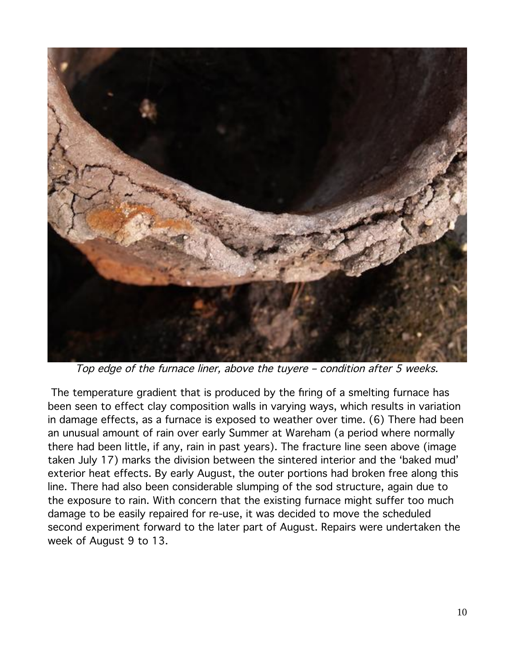

Top edge of the furnace liner, above the tuyere – condition after 5 weeks.

 The temperature gradient that is produced by the firing of a smelting furnace has been seen to effect clay composition walls in varying ways, which results in variation in damage effects, as a furnace is exposed to weather over time. (6) There had been an unusual amount of rain over early Summer at Wareham (a period where normally there had been little, if any, rain in past years). The fracture line seen above (image taken July 17) marks the division between the sintered interior and the 'baked mud' exterior heat effects. By early August, the outer portions had broken free along this line. There had also been considerable slumping of the sod structure, again due to the exposure to rain. With concern that the existing furnace might suffer too much damage to be easily repaired for re-use, it was decided to move the scheduled second experiment forward to the later part of August. Repairs were undertaken the week of August 9 to 13.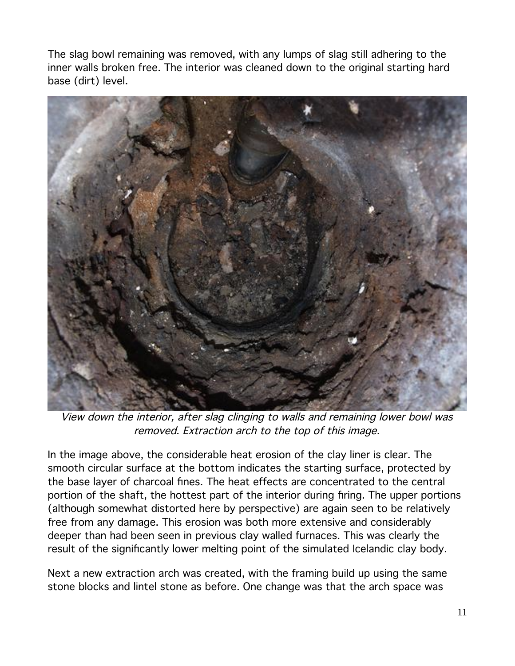The slag bowl remaining was removed, with any lumps of slag still adhering to the inner walls broken free. The interior was cleaned down to the original starting hard base (dirt) level.



View down the interior, after slag clinging to walls and remaining lower bowl was removed. Extraction arch to the top of this image.

In the image above, the considerable heat erosion of the clay liner is clear. The smooth circular surface at the bottom indicates the starting surface, protected by the base layer of charcoal fines. The heat effects are concentrated to the central portion of the shaft, the hottest part of the interior during firing. The upper portions (although somewhat distorted here by perspective) are again seen to be relatively free from any damage. This erosion was both more extensive and considerably deeper than had been seen in previous clay walled furnaces. This was clearly the result of the significantly lower melting point of the simulated Icelandic clay body.

Next a new extraction arch was created, with the framing build up using the same stone blocks and lintel stone as before. One change was that the arch space was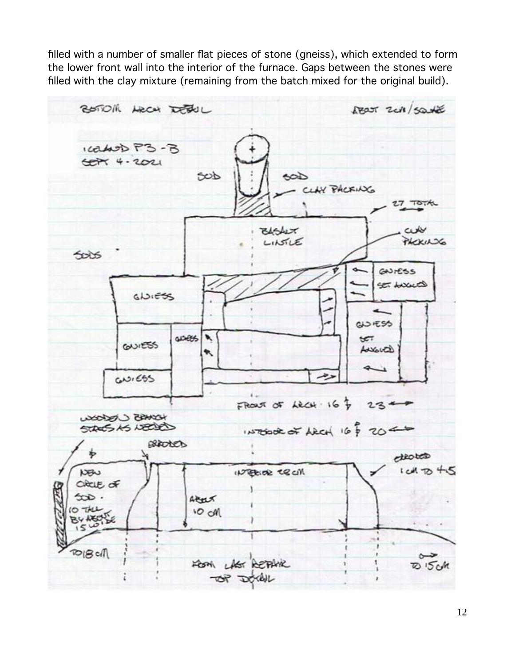filled with a number of smaller flat pieces of stone (gneiss), which extended to form the lower front wall into the interior of the furnace. Gaps between the stones were filled with the clay mixture (remaining from the batch mixed for the original build).

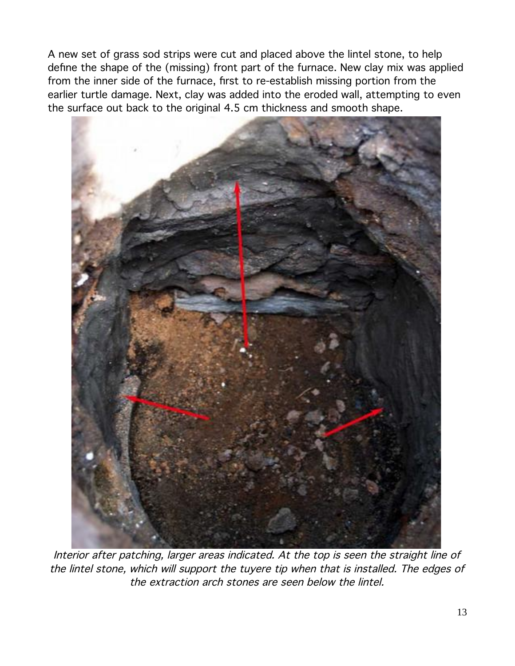A new set of grass sod strips were cut and placed above the lintel stone, to help define the shape of the (missing) front part of the furnace. New clay mix was applied from the inner side of the furnace, first to re-establish missing portion from the earlier turtle damage. Next, clay was added into the eroded wall, attempting to even the surface out back to the original 4.5 cm thickness and smooth shape.



Interior after patching, larger areas indicated. At the top is seen the straight line of the lintel stone, which will support the tuyere tip when that is installed. The edges of the extraction arch stones are seen below the lintel.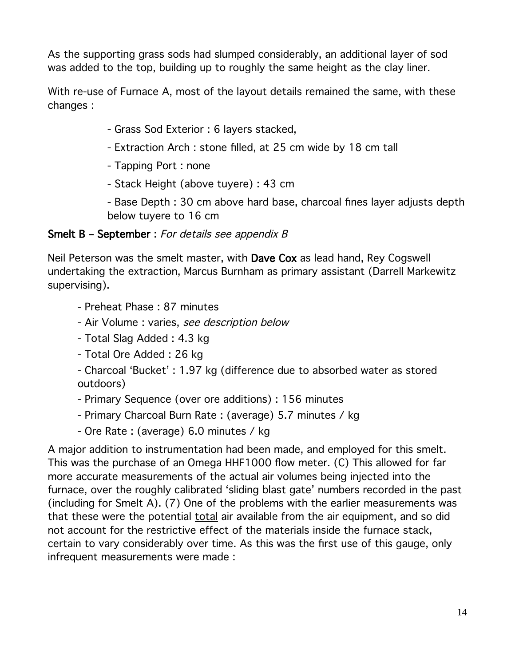As the supporting grass sods had slumped considerably, an additional layer of sod was added to the top, building up to roughly the same height as the clay liner.

With re-use of Furnace A, most of the layout details remained the same, with these changes :

- Grass Sod Exterior : 6 layers stacked,
- Extraction Arch : stone filled, at 25 cm wide by 18 cm tall
- Tapping Port : none
- Stack Height (above tuyere) : 43 cm

- Base Depth : 30 cm above hard base, charcoal fines layer adjusts depth below tuyere to 16 cm

#### Smelt B – September : For details see appendix B

Neil Peterson was the smelt master, with Dave Cox as lead hand, Rey Cogswell undertaking the extraction, Marcus Burnham as primary assistant (Darrell Markewitz supervising).

- Preheat Phase : 87 minutes
- Air Volume : varies, see description below
- Total Slag Added : 4.3 kg
- Total Ore Added : 26 kg

- Charcoal 'Bucket' : 1.97 kg (difference due to absorbed water as stored outdoors)

- Primary Sequence (over ore additions) : 156 minutes

- Primary Charcoal Burn Rate : (average) 5.7 minutes / kg
- Ore Rate : (average) 6.0 minutes / kg

A major addition to instrumentation had been made, and employed for this smelt. This was the purchase of an Omega HHF1000 flow meter. (C) This allowed for far more accurate measurements of the actual air volumes being injected into the furnace, over the roughly calibrated 'sliding blast gate' numbers recorded in the past (including for Smelt A). (7) One of the problems with the earlier measurements was that these were the potential total air available from the air equipment, and so did not account for the restrictive effect of the materials inside the furnace stack, certain to vary considerably over time. As this was the first use of this gauge, only infrequent measurements were made :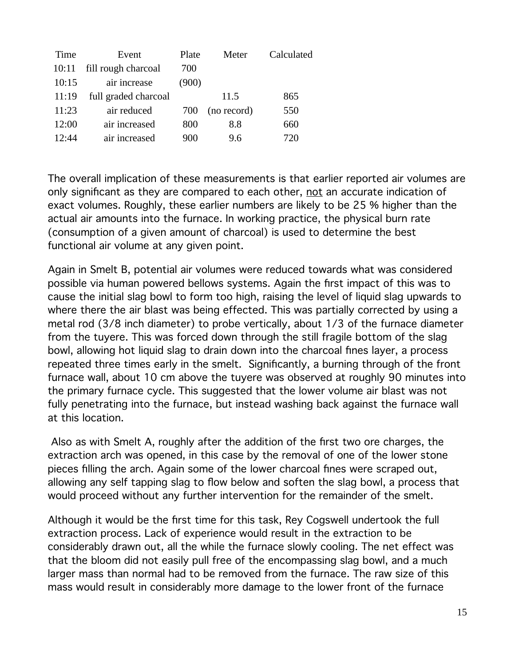| Time  | Event                | Plate | Meter       | Calculated |
|-------|----------------------|-------|-------------|------------|
| 10:11 | fill rough charcoal  | 700   |             |            |
| 10:15 | air increase         | (900) |             |            |
| 11:19 | full graded charcoal |       | 11.5        | 865        |
| 11:23 | air reduced          | 700   | (no record) | 550        |
| 12:00 | air increased        | 800   | 8.8         | 660        |
| 12:44 | air increased        | 900   | 9.6         | 720        |

The overall implication of these measurements is that earlier reported air volumes are only significant as they are compared to each other, not an accurate indication of exact volumes. Roughly, these earlier numbers are likely to be 25 % higher than the actual air amounts into the furnace. In working practice, the physical burn rate (consumption of a given amount of charcoal) is used to determine the best functional air volume at any given point.

Again in Smelt B, potential air volumes were reduced towards what was considered possible via human powered bellows systems. Again the first impact of this was to cause the initial slag bowl to form too high, raising the level of liquid slag upwards to where there the air blast was being effected. This was partially corrected by using a metal rod (3/8 inch diameter) to probe vertically, about 1/3 of the furnace diameter from the tuyere. This was forced down through the still fragile bottom of the slag bowl, allowing hot liquid slag to drain down into the charcoal fines layer, a process repeated three times early in the smelt. Significantly, a burning through of the front furnace wall, about 10 cm above the tuyere was observed at roughly 90 minutes into the primary furnace cycle. This suggested that the lower volume air blast was not fully penetrating into the furnace, but instead washing back against the furnace wall at this location.

 Also as with Smelt A, roughly after the addition of the first two ore charges, the extraction arch was opened, in this case by the removal of one of the lower stone pieces filling the arch. Again some of the lower charcoal fines were scraped out, allowing any self tapping slag to flow below and soften the slag bowl, a process that would proceed without any further intervention for the remainder of the smelt.

Although it would be the first time for this task, Rey Cogswell undertook the full extraction process. Lack of experience would result in the extraction to be considerably drawn out, all the while the furnace slowly cooling. The net effect was that the bloom did not easily pull free of the encompassing slag bowl, and a much larger mass than normal had to be removed from the furnace. The raw size of this mass would result in considerably more damage to the lower front of the furnace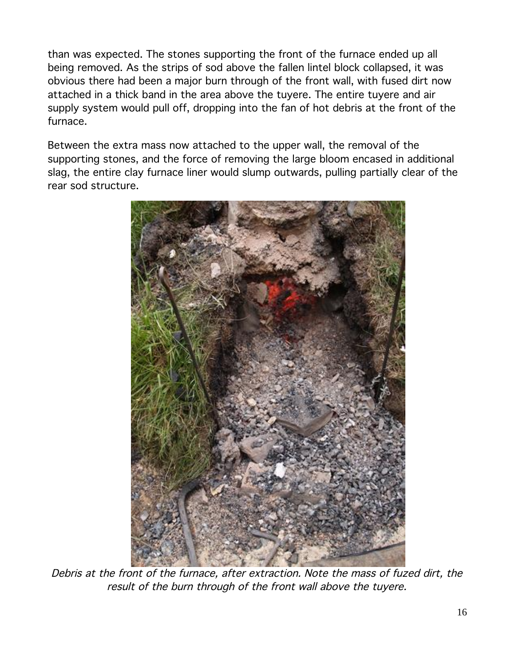than was expected. The stones supporting the front of the furnace ended up all being removed. As the strips of sod above the fallen lintel block collapsed, it was obvious there had been a major burn through of the front wall, with fused dirt now attached in a thick band in the area above the tuyere. The entire tuyere and air supply system would pull off, dropping into the fan of hot debris at the front of the furnace.

Between the extra mass now attached to the upper wall, the removal of the supporting stones, and the force of removing the large bloom encased in additional slag, the entire clay furnace liner would slump outwards, pulling partially clear of the rear sod structure.



Debris at the front of the furnace, after extraction. Note the mass of fuzed dirt, the result of the burn through of the front wall above the tuyere.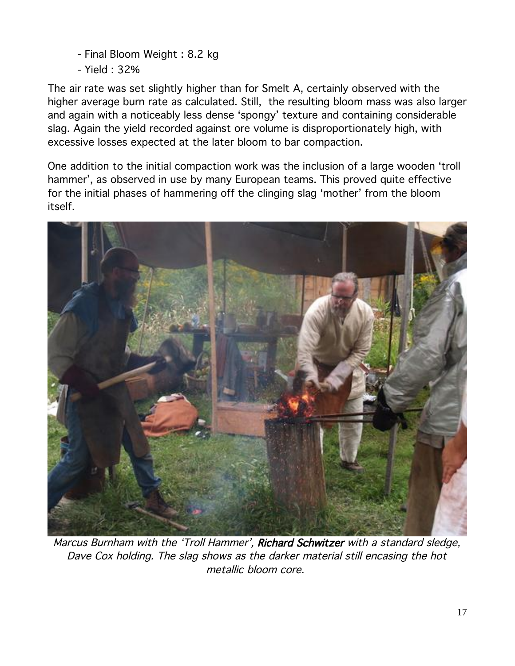- Final Bloom Weight : 8.2 kg
- Yield : 32%

The air rate was set slightly higher than for Smelt A, certainly observed with the higher average burn rate as calculated. Still, the resulting bloom mass was also larger and again with a noticeably less dense 'spongy' texture and containing considerable slag. Again the yield recorded against ore volume is disproportionately high, with excessive losses expected at the later bloom to bar compaction.

One addition to the initial compaction work was the inclusion of a large wooden 'troll hammer', as observed in use by many European teams. This proved quite effective for the initial phases of hammering off the clinging slag 'mother' from the bloom itself.



Marcus Burnham with the 'Troll Hammer', Richard Schwitzer with a standard sledge, Dave Cox holding. The slag shows as the darker material still encasing the hot metallic bloom core.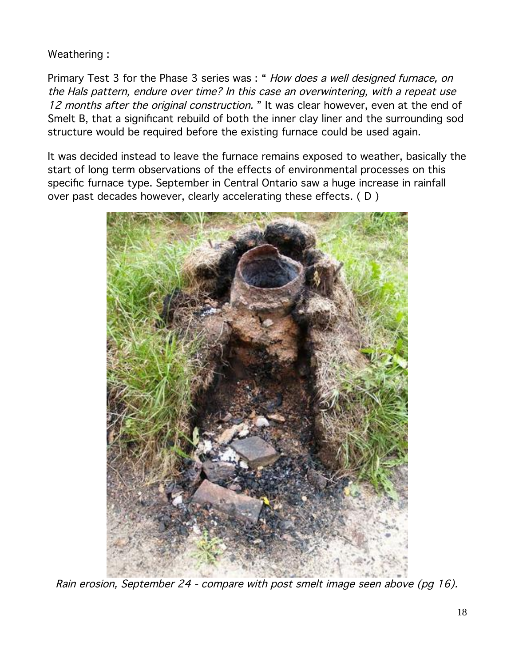### Weathering :

Primary Test 3 for the Phase 3 series was : " How does a well designed furnace, on the Hals pattern, endure over time? In this case an overwintering, with a repeat use 12 months after the original construction. " It was clear however, even at the end of Smelt B, that a significant rebuild of both the inner clay liner and the surrounding sod structure would be required before the existing furnace could be used again.

It was decided instead to leave the furnace remains exposed to weather, basically the start of long term observations of the effects of environmental processes on this specific furnace type. September in Central Ontario saw a huge increase in rainfall over past decades however, clearly accelerating these effects. ( D )



Rain erosion, September 24 - compare with post smelt image seen above (pg 16).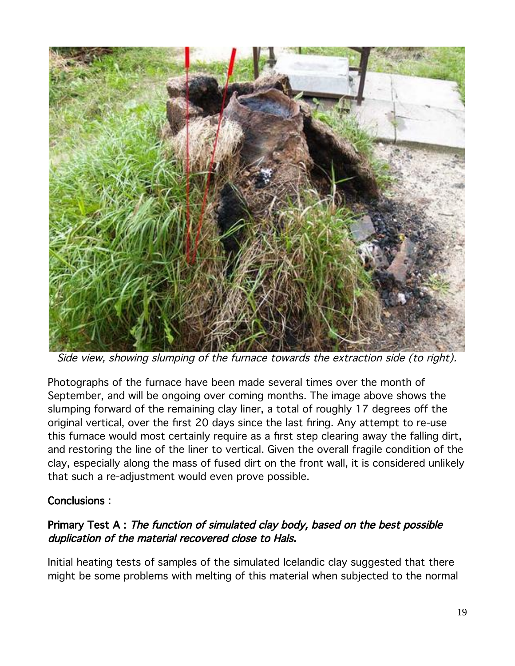

Side view, showing slumping of the furnace towards the extraction side (to right).

Photographs of the furnace have been made several times over the month of September, and will be ongoing over coming months. The image above shows the slumping forward of the remaining clay liner, a total of roughly 17 degrees off the original vertical, over the first 20 days since the last firing. Any attempt to re-use this furnace would most certainly require as a first step clearing away the falling dirt, and restoring the line of the liner to vertical. Given the overall fragile condition of the clay, especially along the mass of fused dirt on the front wall, it is considered unlikely that such a re-adjustment would even prove possible.

#### Conclusions :

### Primary Test A : The function of simulated clay body, based on the best possible duplication of the material recovered close to Hals.

Initial heating tests of samples of the simulated Icelandic clay suggested that there might be some problems with melting of this material when subjected to the normal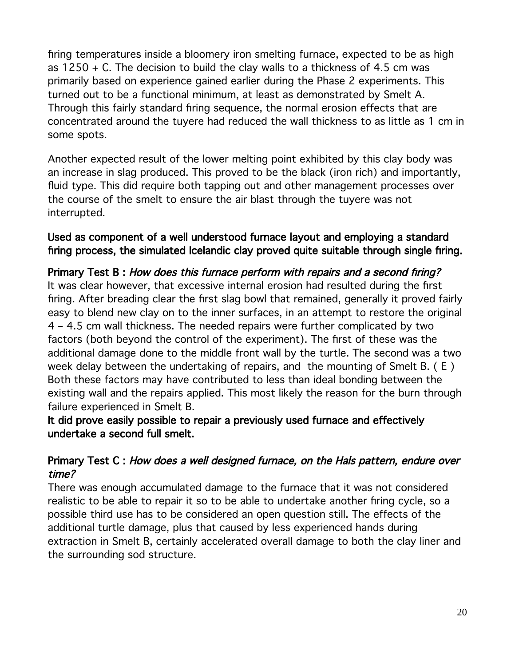firing temperatures inside a bloomery iron smelting furnace, expected to be as high as  $1250 + C$ . The decision to build the clay walls to a thickness of 4.5 cm was primarily based on experience gained earlier during the Phase 2 experiments. This turned out to be a functional minimum, at least as demonstrated by Smelt A. Through this fairly standard firing sequence, the normal erosion effects that are concentrated around the tuyere had reduced the wall thickness to as little as 1 cm in some spots.

Another expected result of the lower melting point exhibited by this clay body was an increase in slag produced. This proved to be the black (iron rich) and importantly, fluid type. This did require both tapping out and other management processes over the course of the smelt to ensure the air blast through the tuyere was not interrupted.

#### Used as component of a well understood furnace layout and employing a standard firing process, the simulated Icelandic clay proved quite suitable through single firing.

## Primary Test B : How does this furnace perform with repairs and a second firing?

It was clear however, that excessive internal erosion had resulted during the first firing. After breading clear the first slag bowl that remained, generally it proved fairly easy to blend new clay on to the inner surfaces, in an attempt to restore the original 4 – 4.5 cm wall thickness. The needed repairs were further complicated by two factors (both beyond the control of the experiment). The first of these was the additional damage done to the middle front wall by the turtle. The second was a two week delay between the undertaking of repairs, and the mounting of Smelt B. ( E ) Both these factors may have contributed to less than ideal bonding between the existing wall and the repairs applied. This most likely the reason for the burn through failure experienced in Smelt B.

#### It did prove easily possible to repair a previously used furnace and effectively undertake a second full smelt.

## Primary Test C : How does a well designed furnace, on the Hals pattern, endure over time?

There was enough accumulated damage to the furnace that it was not considered realistic to be able to repair it so to be able to undertake another firing cycle, so a possible third use has to be considered an open question still. The effects of the additional turtle damage, plus that caused by less experienced hands during extraction in Smelt B, certainly accelerated overall damage to both the clay liner and the surrounding sod structure.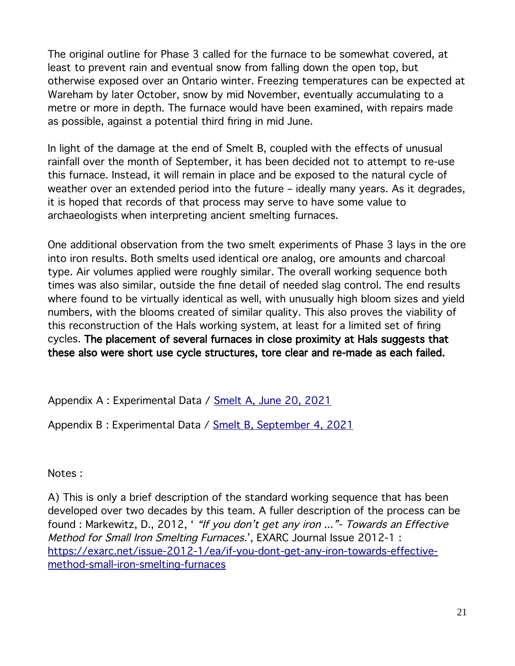The original outline for Phase 3 called for the furnace to be somewhat covered, at least to prevent rain and eventual snow from falling down the open top, but otherwise exposed over an Ontario winter. Freezing temperatures can be expected at Wareham by later October, snow by mid November, eventually accumulating to a metre or more in depth. The furnace would have been examined, with repairs made as possible, against a potential third firing in mid June.

In light of the damage at the end of Smelt B, coupled with the effects of unusual rainfall over the month of September, it has been decided not to attempt to re-use this furnace. Instead, it will remain in place and be exposed to the natural cycle of weather over an extended period into the future – ideally many years. As it degrades, it is hoped that records of that process may serve to have some value to archaeologists when interpreting ancient smelting furnaces.

One additional observation from the two smelt experiments of Phase 3 lays in the ore into iron results. Both smelts used identical ore analog, ore amounts and charcoal type. Air volumes applied were roughly similar. The overall working sequence both times was also similar, outside the fine detail of needed slag control. The end results where found to be virtually identical as well, with unusually high bloom sizes and yield numbers, with the blooms created of similar quality. This also proves the viability of this reconstruction of the Hals working system, at least for a limited set of firing cycles. The placement of several furnaces in close proximity at Hals suggests that these also were short use cycle structures, tore clear and re-made as each failed.

Appendix A : Experimental Data / [Smelt A, June 20, 2021](http://www.warehamforge.ca/ironsmelting/iron2021/June21/june-21-data.htm)

Appendix B : Experimental Data / [Smelt B, September 4, 2021](http://www.warehamforge.ca/ironsmelting/iron2021/September21/data-9-21.htm)

Notes :

A) This is only a brief description of the standard working sequence that has been developed over two decades by this team. A fuller description of the process can be found : Markewitz, D., 2012, ' "If you don't get any iron ..." - Towards an Effective Method for Small Iron Smelting Furnaces.', EXARC Journal Issue 2012-1 : [https://exarc.net/issue-2012-1/ea/if-you-dont-get-any-iron-towards-effective](https://exarc.net/issue-2012-1/ea/if-you-dont-get-any-iron-towards-effective-method-small-iron-smelting-furnaces)[method-small-iron-smelting-furnaces](https://exarc.net/issue-2012-1/ea/if-you-dont-get-any-iron-towards-effective-method-small-iron-smelting-furnaces)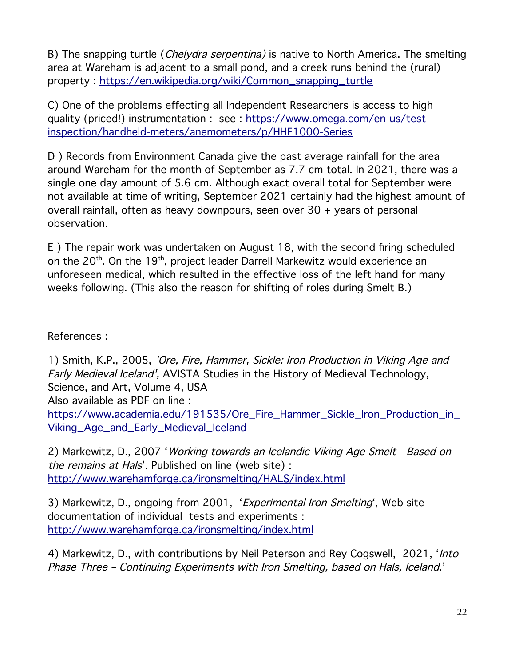B) The snapping turtle (*Chelydra serpentina*) is native to North America. The smelting area at Wareham is adjacent to a small pond, and a creek runs behind the (rural) property : [https://en.wikipedia.org/wiki/Common\\_snapping\\_turtle](https://en.wikipedia.org/wiki/Common_snapping_turtle)

C) One of the problems effecting all Independent Researchers is access to high quality (priced!) instrumentation : see : [https://www.omega.com/en-us/test](https://www.omega.com/en-us/test-inspection/handheld-meters/anemometers/p/HHF1000-Series)[inspection/handheld-meters/anemometers/p/HHF1000-Series](https://www.omega.com/en-us/test-inspection/handheld-meters/anemometers/p/HHF1000-Series)

D ) Records from Environment Canada give the past average rainfall for the area around Wareham for the month of September as 7.7 cm total. In 2021, there was a single one day amount of 5.6 cm. Although exact overall total for September were not available at time of writing, September 2021 certainly had the highest amount of overall rainfall, often as heavy downpours, seen over 30 + years of personal observation.

E ) The repair work was undertaken on August 18, with the second firing scheduled on the 20<sup>th</sup>. On the 19<sup>th</sup>, project leader Darrell Markewitz would experience an unforeseen medical, which resulted in the effective loss of the left hand for many weeks following. (This also the reason for shifting of roles during Smelt B.)

References :

1) Smith, K.P., 2005, 'Ore, Fire, Hammer, Sickle: Iron Production in Viking Age and Early Medieval Iceland', AVISTA Studies in the History of Medieval Technology, Science, and Art, Volume 4, USA Also available as PDF on line :

[https://www.academia.edu/191535/Ore\\_Fire\\_Hammer\\_Sickle\\_Iron\\_Production\\_in\\_](https://www.academia.edu/191535/Ore_Fire_Hammer_Sickle_Iron_Production_in_Viking_Age_and_Early_Medieval_Iceland) [Viking\\_Age\\_and\\_Early\\_Medieval\\_Iceland](https://www.academia.edu/191535/Ore_Fire_Hammer_Sickle_Iron_Production_in_Viking_Age_and_Early_Medieval_Iceland)

2) Markewitz, D., 2007 'Working towards an Icelandic Viking Age Smelt - Based on the remains at Hals'. Published on line (web site) : <http://www.warehamforge.ca/ironsmelting/HALS/index.html>

3) Markewitz, D., ongoing from 2001, '*Experimental Iron Smelting'*, Web site documentation of individual tests and experiments : <http://www.warehamforge.ca/ironsmelting/index.html>

4) Markewitz, D., with contributions by Neil Peterson and Rey Cogswell, 2021, '*Into* Phase Three – Continuing Experiments with Iron Smelting, based on Hals, Iceland.'